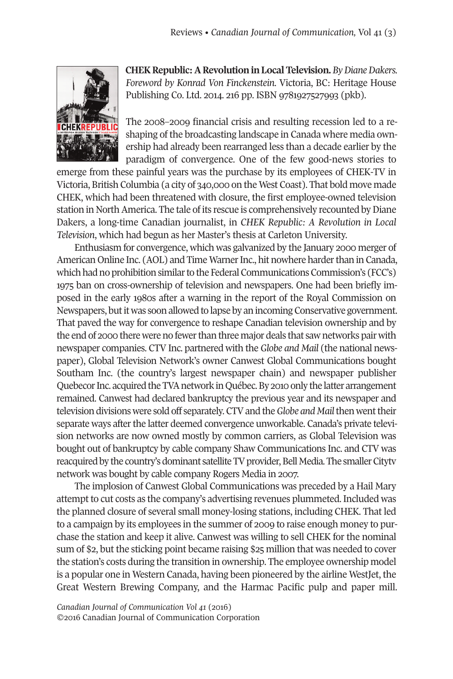

**CHEK Republic: A Revolution in Local Television.** By Diane Dakers. *Foreword by Konrad Von Finckenstein*. Victoria, BC: Heritage House Publishing Co. Ltd. 2014. 216 pp. ISBN 9781927527993 (pkb).

The 2008–2009 financial crisis and resulting recession led to a reshaping of the broadcasting landscape in Canada where media ownership had already been rearranged less than a decade earlier by the paradigm of convergence. One of the few good-news stories to

emerge from these painful years was the purchase by its employees of CHEK-TV in Victoria, British Columbia (a city of 340,000 on the West Coast). That bold move made CHEK, which had been threatened with closure, the first employee-owned television station in North America. The tale of its rescue is comprehensively recounted by Diane Dakers, a long-time Canadian journalist, in *CHEK Republic: A Revolution in Local Television*, which had begun as her Master's thesis at Carleton University.

Enthusiasm for convergence, which was galvanized by the January 2000 merger of American Online Inc. (AOL) and Time Warner Inc., hit nowhere harder than in Canada, which had no prohibition similar to the Federal Communications Commission's (FCC's) 1975 ban on cross-ownership of television and newspapers. One had been briefly imposed in the early 1980s after a warning in the report of the Royal Commission on Newspapers, but it was soon allowed to lapse by an incoming Conservative government. That paved the way for convergence to reshape Canadian television ownership and by the end of 2000 there were no fewerthan three major deals that saw networks pair with newspaper companies. CTV Inc. partnered with the *Globe and Mail* (the national newspaper), Global Television Network's owner Canwest Global Communications bought Southam Inc. (the country's largest newspaper chain) and newspaper publisher Quebecor Inc. acquired the TVA network in Québec. By 2010 only the latter arrangement remained. Canwest had declared bankruptcy the previous year and its newspaper and television divisionswere sold off separately.CTVand the*Globe and Mail*thenwenttheir separate ways after the latter deemed convergence unworkable. Canada's private television networks are now owned mostly by common carriers, as Global Television was bought out of bankruptcy by cable company Shaw Communications Inc. and CTV was reacquired by the country's dominant satellite TV provider, Bell Media. The smaller Cityty network was bought by cable company Rogers Media in 2007.

The implosion of Canwest Global Communications was preceded by a Hail Mary attempt to cut costs as the company's advertising revenues plummeted. Included was the planned closure of several small money-losing stations, including CHEK. That led to a campaign by its employees in the summer of 2009 to raise enough money to purchase the station and keep it alive. Canwest was willing to sell CHEK for the nominal sum of \$2, but the sticking point became raising \$25 million that was needed to cover the station's costs during the transition in ownership. The employee ownership model is a popular one in Western Canada, having been pioneered by the airline WestJet, the Great Western Brewing Company, and the Harmac Pacific pulp and paper mill.

*Canadian Journal of [Communication](http://www.cjc-online.ca) Vol 41* (2016) ©2016 Canadian Journal of Communication Corporation